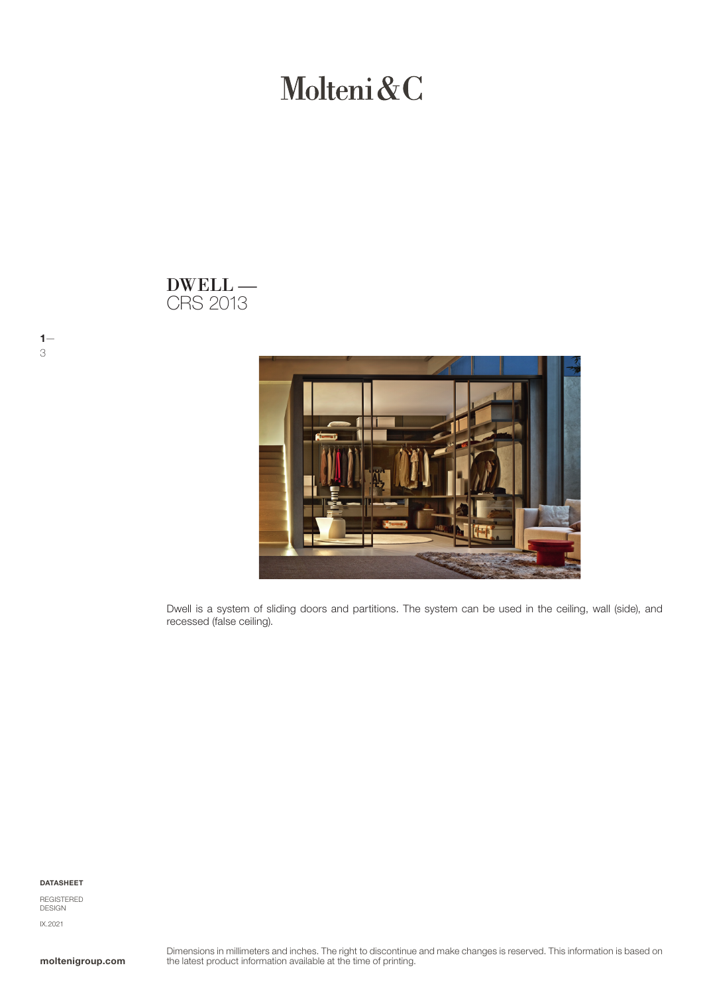Molteni&C

## CRS 2013 DWELL —



Dwell is a system of sliding doors and partitions. The system can be used in the ceiling, wall (side), and recessed (false ceiling).

DATASHEET

 $1-$ 3

REGISTERED DESIGN IX.2021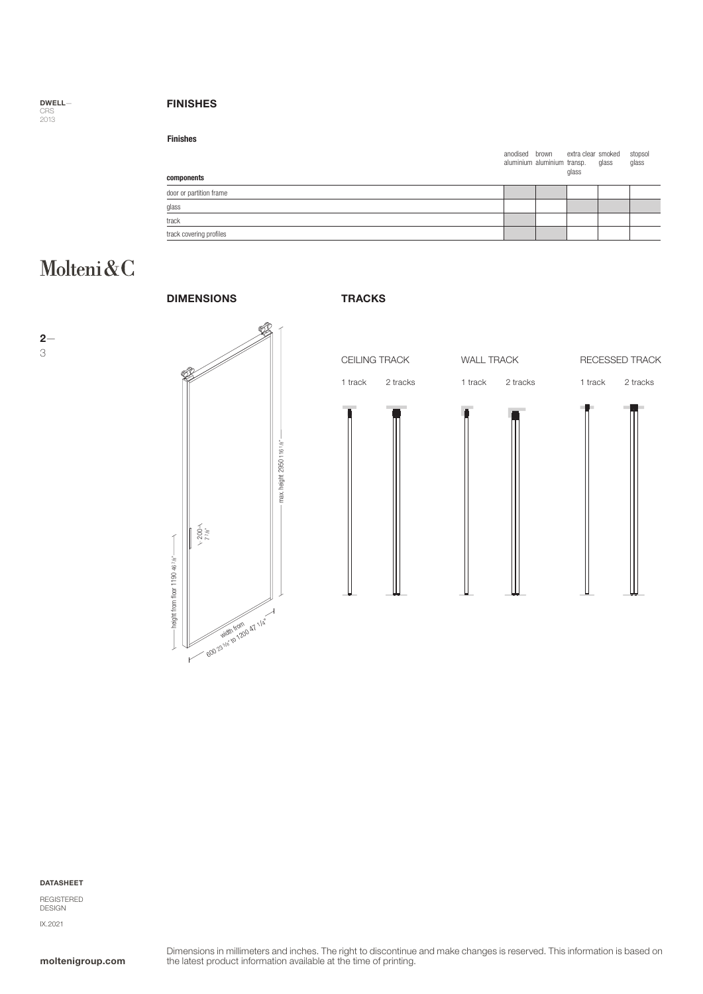DWELL— CRS 2013

### FINISHES

anodised brown extra cl<br>aluminium aluminium transp. extra clear smoked glass glass stopsol glass door or partition frame glass track track covering profiles components Finishes

# Molteni&C





#### DATASHEET

REGISTERED DESIGN IX.2021